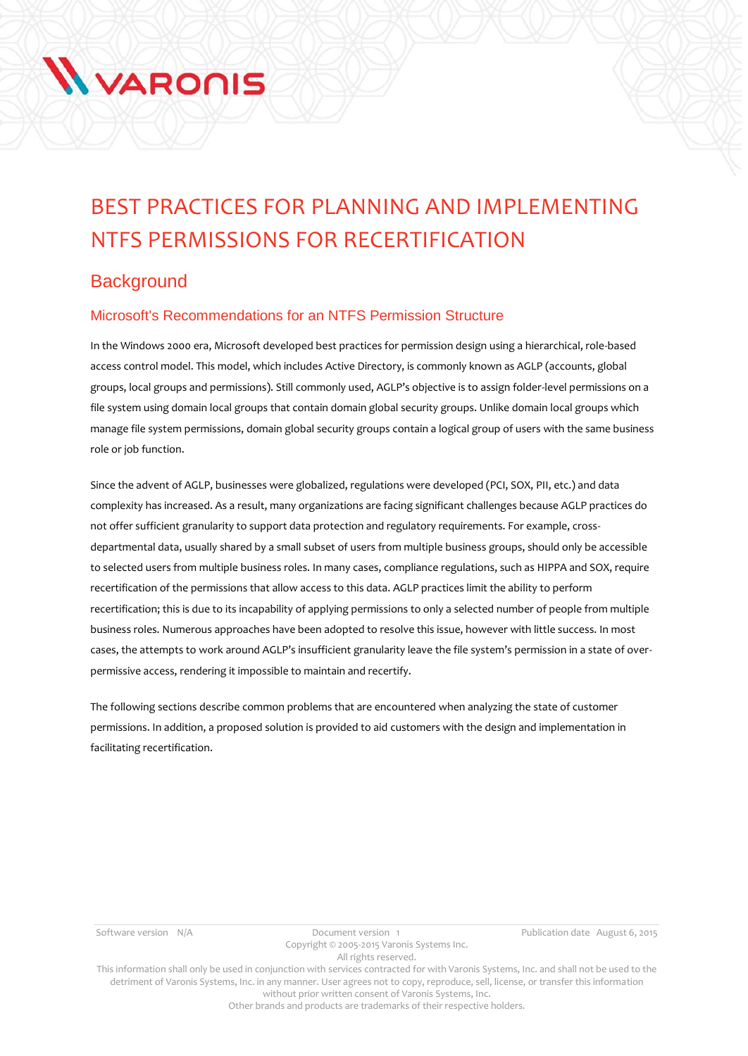# **WARONIS**

# BEST PRACTICES FOR PLANNING AND IMPLEMENTING NTFS PERMISSIONS FOR RECERTIFICATION

# **Background**

# Microsoft's Recommendations for an NTFS Permission Structure

In the Windows 2000 era, Microsoft developed best practices for permission design using a hierarchical, role-based access control model. This model, which includes Active Directory, is commonly known as AGLP (accounts, global groups, local groups and permissions). Still commonly used, AGLP's objective is to assign folder-level permissions on a file system using domain local groups that contain domain global security groups. Unlike domain local groups which manage file system permissions, domain global security groups contain a logical group of users with the same business role or job function.

Since the advent of AGLP, businesses were globalized, regulations were developed (PCI, SOX, PII, etc.) and data complexity has increased. As a result, many organizations are facing significant challenges because AGLP practices do not offer sufficient granularity to support data protection and regulatory requirements. For example, crossdepartmental data, usually shared by a small subset of users from multiple business groups, should only be accessible to selected users from multiple business roles. In many cases, compliance regulations, such as HIPPA and SOX, require recertification of the permissions that allow access to this data. AGLP practices limit the ability to perform recertification; this is due to its incapability of applying permissions to only a selected number of people from multiple business roles. Numerous approaches have been adopted to resolve this issue, however with little success. In most cases, the attempts to work around AGLP's insufficient granularity leave the file system's permission in a state of overpermissive access, rendering it impossible to maintain and recertify.

The following sections describe common problems that are encountered when analyzing the state of customer permissions. In addition, a proposed solution is provided to aid customers with the design and implementation in facilitating recertification.

This information shall only be used in conjunction with services contracted for with Varonis Systems, Inc. and shall not be used to the detriment of Varonis Systems, Inc. in any manner. User agrees not to copy, reproduce, sell, license, or transfer this information without prior written consent of Varonis Systems, Inc.

Other brands and products are trademarks of their respective holders.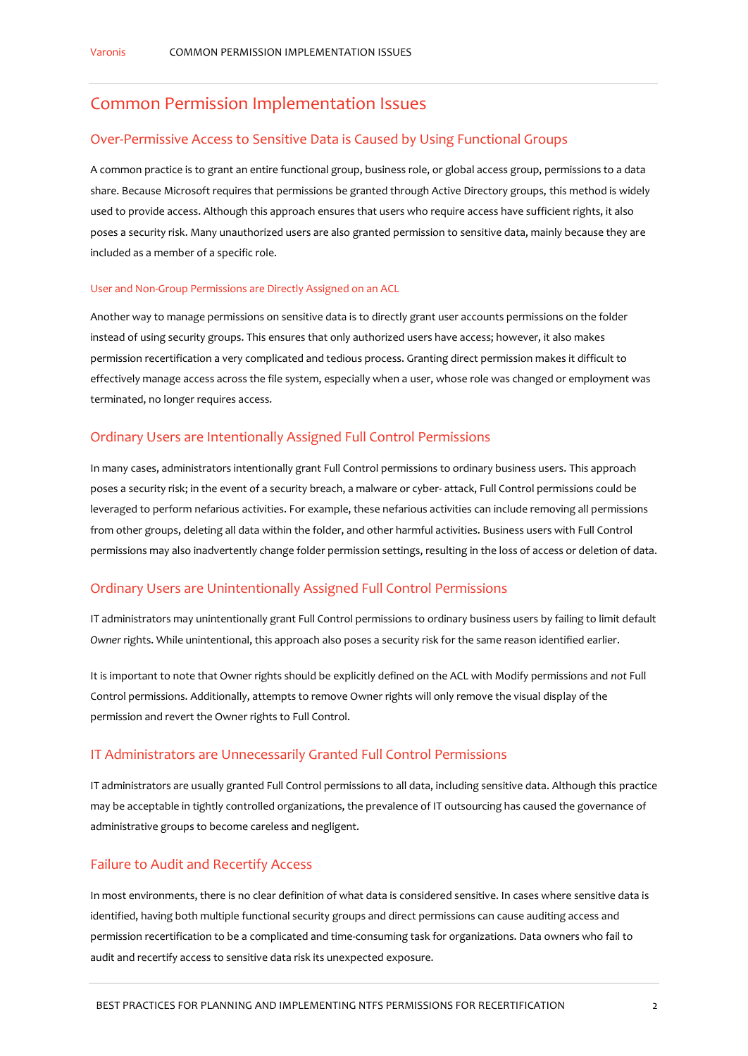# Common Permission Implementation Issues

#### Over-Permissive Access to Sensitive Data is Caused by Using Functional Groups

A common practice is to grant an entire functional group, business role, or global access group, permissions to a data share. Because Microsoft requires that permissions be granted through Active Directory groups, this method is widely used to provide access. Although this approach ensures that users who require access have sufficient rights, it also poses a security risk. Many unauthorized users are also granted permission to sensitive data, mainly because they are included as a member of a specific role.

#### User and Non-Group Permissions are Directly Assigned on an ACL

Another way to manage permissions on sensitive data is to directly grant user accounts permissions on the folder instead of using security groups. This ensures that only authorized users have access; however, it also makes permission recertification a very complicated and tedious process. Granting direct permission makes it difficult to effectively manage access across the file system, especially when a user, whose role was changed or employment was terminated, no longer requires access.

#### Ordinary Users are Intentionally Assigned Full Control Permissions

In many cases, administrators intentionally grant Full Control permissions to ordinary business users. This approach poses a security risk; in the event of a security breach, a malware or cyber- attack, Full Control permissions could be leveraged to perform nefarious activities. For example, these nefarious activities can include removing all permissions from other groups, deleting all data within the folder, and other harmful activities. Business users with Full Control permissions may also inadvertently change folder permission settings, resulting in the loss of access or deletion of data.

#### Ordinary Users are Unintentionally Assigned Full Control Permissions

IT administrators may unintentionally grant Full Control permissions to ordinary business users by failing to limit default *Owner* rights. While unintentional, this approach also poses a security risk for the same reason identified earlier.

It is important to note that Owner rights should be explicitly defined on the ACL with Modify permissions and *not* Full Control permissions. Additionally, attempts to remove Owner rights will only remove the visual display of the permission and revert the Owner rights to Full Control.

#### IT Administrators are Unnecessarily Granted Full Control Permissions

IT administrators are usually granted Full Control permissions to all data, including sensitive data. Although this practice may be acceptable in tightly controlled organizations, the prevalence of IT outsourcing has caused the governance of administrative groups to become careless and negligent.

#### Failure to Audit and Recertify Access

In most environments, there is no clear definition of what data is considered sensitive. In cases where sensitive data is identified, having both multiple functional security groups and direct permissions can cause auditing access and permission recertification to be a complicated and time-consuming task for organizations. Data owners who fail to audit and recertify access to sensitive data risk its unexpected exposure.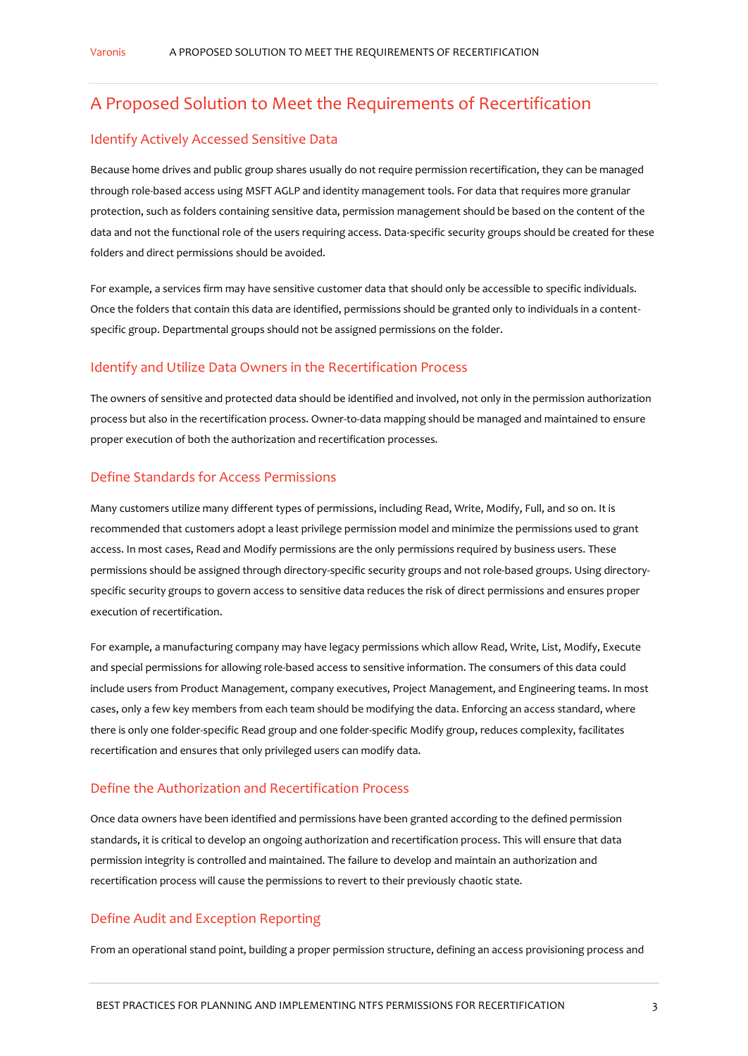# A Proposed Solution to Meet the Requirements of Recertification

#### Identify Actively Accessed Sensitive Data

Because home drives and public group shares usually do not require permission recertification, they can be managed through role-based access using MSFT AGLP and identity management tools. For data that requires more granular protection, such as folders containing sensitive data, permission management should be based on the content of the data and not the functional role of the users requiring access. Data-specific security groups should be created for these folders and direct permissions should be avoided.

For example, a services firm may have sensitive customer data that should only be accessible to specific individuals. Once the folders that contain this data are identified, permissions should be granted only to individuals in a contentspecific group. Departmental groups should not be assigned permissions on the folder.

#### Identify and Utilize Data Owners in the Recertification Process

The owners of sensitive and protected data should be identified and involved, not only in the permission authorization process but also in the recertification process. Owner-to-data mapping should be managed and maintained to ensure proper execution of both the authorization and recertification processes.

#### Define Standards for Access Permissions

Many customers utilize many different types of permissions, including Read, Write, Modify, Full, and so on. It is recommended that customers adopt a least privilege permission model and minimize the permissions used to grant access. In most cases, Read and Modify permissions are the only permissions required by business users. These permissions should be assigned through directory-specific security groups and not role-based groups. Using directoryspecific security groups to govern access to sensitive data reduces the risk of direct permissions and ensures proper execution of recertification.

For example, a manufacturing company may have legacy permissions which allow Read, Write, List, Modify, Execute and special permissions for allowing role-based access to sensitive information. The consumers of this data could include users from Product Management, company executives, Project Management, and Engineering teams. In most cases, only a few key members from each team should be modifying the data. Enforcing an access standard, where there is only one folder-specific Read group and one folder-specific Modify group, reduces complexity, facilitates recertification and ensures that only privileged users can modify data.

#### Define the Authorization and Recertification Process

Once data owners have been identified and permissions have been granted according to the defined permission standards, it is critical to develop an ongoing authorization and recertification process. This will ensure that data permission integrity is controlled and maintained. The failure to develop and maintain an authorization and recertification process will cause the permissions to revert to their previously chaotic state.

#### Define Audit and Exception Reporting

From an operational stand point, building a proper permission structure, defining an access provisioning process and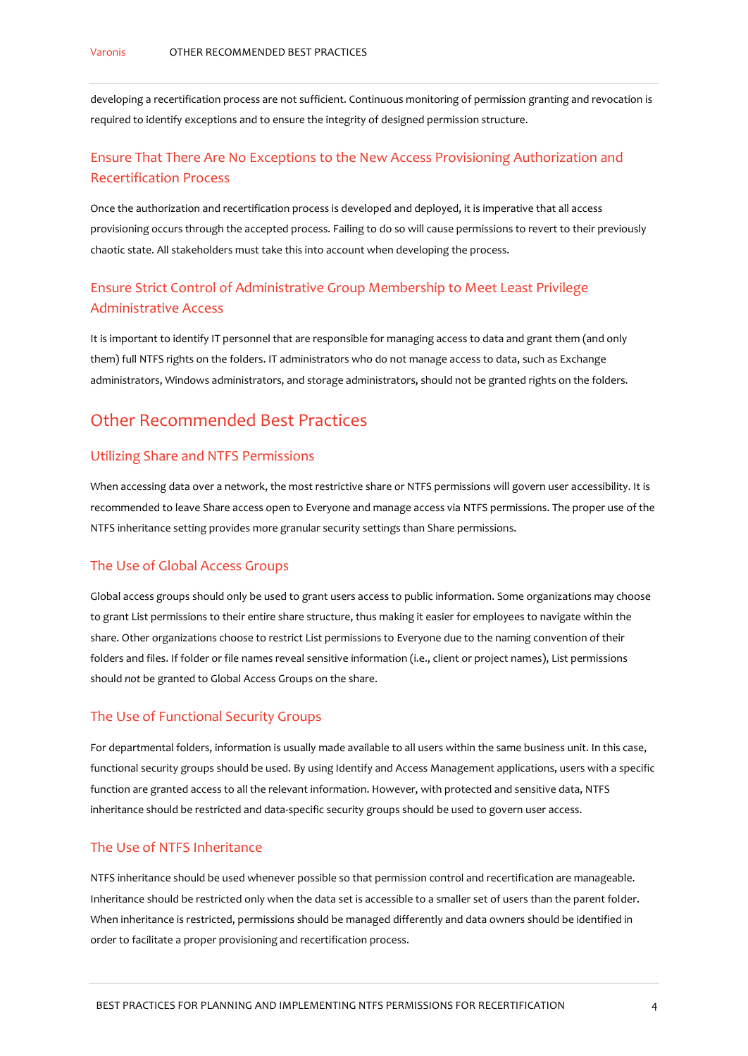developing a recertification process are not sufficient. Continuous monitoring of permission granting and revocation is required to identify exceptions and to ensure the integrity of designed permission structure.

### Ensure That There Are No Exceptions to the New Access Provisioning Authorization and Recertification Process

Once the authorization and recertification process is developed and deployed, it is imperative that all access provisioning occurs through the accepted process. Failing to do so will cause permissions to revert to their previously chaotic state. All stakeholders must take this into account when developing the process.

## Ensure Strict Control of Administrative Group Membership to Meet Least Privilege Administrative Access

It is important to identify IT personnel that are responsible for managing access to data and grant them (and only them) full NTFS rights on the folders. IT administrators who do not manage access to data, such as Exchange administrators, Windows administrators, and storage administrators, should not be granted rights on the folders.

# Other Recommended Best Practices

#### Utilizing Share and NTFS Permissions

When accessing data over a network, the most restrictive share or NTFS permissions will govern user accessibility. It is recommended to leave Share access open to Everyone and manage access via NTFS permissions. The proper use of the NTFS inheritance setting provides more granular security settings than Share permissions.

#### The Use of Global Access Groups

Global access groups should only be used to grant users access to public information. Some organizations may choose to grant List permissions to their entire share structure, thus making it easier for employees to navigate within the share. Other organizations choose to restrict List permissions to Everyone due to the naming convention of their folders and files. If folder or file names reveal sensitive information (i.e., client or project names), List permissions should *not* be granted to Global Access Groups on the share.

#### The Use of Functional Security Groups

For departmental folders, information is usually made available to all users within the same business unit. In this case, functional security groups should be used. By using Identify and Access Management applications, users with a specific function are granted access to all the relevant information. However, with protected and sensitive data, NTFS inheritance should be restricted and data-specific security groups should be used to govern user access.

#### The Use of NTFS Inheritance

NTFS inheritance should be used whenever possible so that permission control and recertification are manageable. Inheritance should be restricted only when the data set is accessible to a smaller set of users than the parent folder. When inheritance is restricted, permissions should be managed differently and data owners should be identified in order to facilitate a proper provisioning and recertification process.